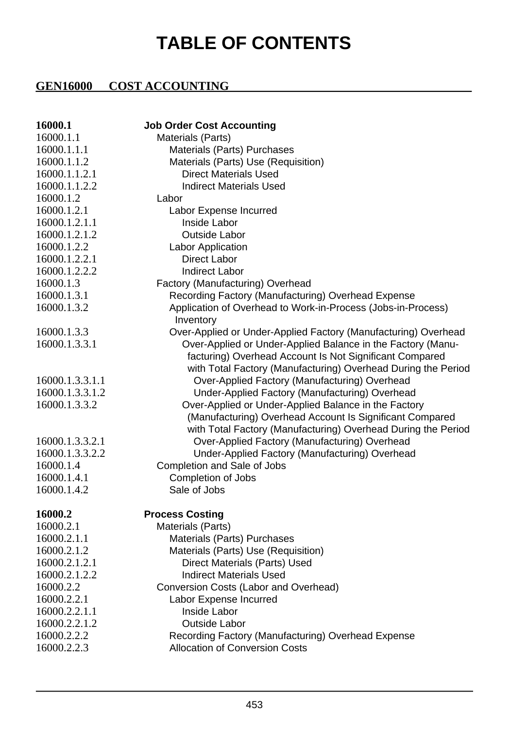## **TABLE OF CONTENTS**

## **GEN16000 COST ACCOUNTING**

| 16000.1         | <b>Job Order Cost Accounting</b>                               |
|-----------------|----------------------------------------------------------------|
| 16000.1.1       | Materials (Parts)                                              |
| 16000.1.1.1     | Materials (Parts) Purchases                                    |
| 16000.1.1.2     | Materials (Parts) Use (Requisition)                            |
| 16000.1.1.2.1   | <b>Direct Materials Used</b>                                   |
| 16000.1.1.2.2   | <b>Indirect Materials Used</b>                                 |
| 16000.1.2       | Labor                                                          |
| 16000.1.2.1     | Labor Expense Incurred                                         |
| 16000.1.2.1.1   | Inside Labor                                                   |
| 16000.1.2.1.2   | <b>Outside Labor</b>                                           |
| 16000.1.2.2     | Labor Application                                              |
| 16000.1.2.2.1   | <b>Direct Labor</b>                                            |
| 16000.1.2.2.2   | <b>Indirect Labor</b>                                          |
| 16000.1.3       | Factory (Manufacturing) Overhead                               |
| 16000.1.3.1     | Recording Factory (Manufacturing) Overhead Expense             |
| 16000.1.3.2     | Application of Overhead to Work-in-Process (Jobs-in-Process)   |
|                 | Inventory                                                      |
| 16000.1.3.3     | Over-Applied or Under-Applied Factory (Manufacturing) Overhead |
| 16000.1.3.3.1   | Over-Applied or Under-Applied Balance in the Factory (Manu-    |
|                 | facturing) Overhead Account Is Not Significant Compared        |
|                 | with Total Factory (Manufacturing) Overhead During the Period  |
| 16000.1.3.3.1.1 | Over-Applied Factory (Manufacturing) Overhead                  |
| 16000.1.3.3.1.2 | Under-Applied Factory (Manufacturing) Overhead                 |
| 16000.1.3.3.2   | Over-Applied or Under-Applied Balance in the Factory           |
|                 | (Manufacturing) Overhead Account Is Significant Compared       |
|                 | with Total Factory (Manufacturing) Overhead During the Period  |
| 16000.1.3.3.2.1 | Over-Applied Factory (Manufacturing) Overhead                  |
| 16000.1.3.3.2.2 | Under-Applied Factory (Manufacturing) Overhead                 |
| 16000.1.4       | Completion and Sale of Jobs                                    |
| 16000.1.4.1     | Completion of Jobs                                             |
| 16000.1.4.2     | Sale of Jobs                                                   |
| 16000.2         | <b>Process Costing</b>                                         |
| 16000.2.1       | Materials (Parts)                                              |
| 16000.2.1.1     | Materials (Parts) Purchases                                    |
| 16000.2.1.2     | Materials (Parts) Use (Requisition)                            |
| 16000.2.1.2.1   | Direct Materials (Parts) Used                                  |
| 16000.2.1.2.2   | Indirect Materials Used                                        |
| 16000.2.2       | Conversion Costs (Labor and Overhead)                          |
| 16000.2.2.1     | Labor Expense Incurred                                         |
| 16000.2.2.1.1   | <b>Inside Labor</b>                                            |
| 16000.2.2.1.2   | <b>Outside Labor</b>                                           |
| 16000.2.2.2     | Recording Factory (Manufacturing) Overhead Expense             |
| 16000.2.2.3     | <b>Allocation of Conversion Costs</b>                          |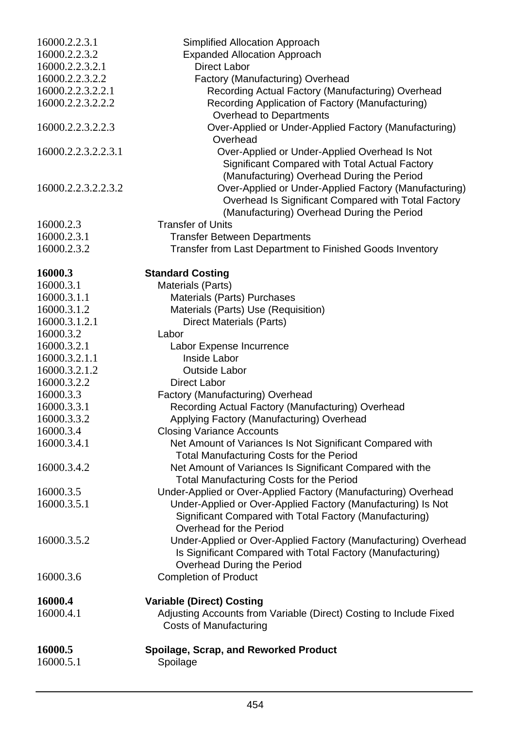| 16000.2.2.3.1        | Simplified Allocation Approach                                                                                                                             |
|----------------------|------------------------------------------------------------------------------------------------------------------------------------------------------------|
| 16000.2.2.3.2        | <b>Expanded Allocation Approach</b>                                                                                                                        |
| 16000.2.2.3.2.1      | <b>Direct Labor</b>                                                                                                                                        |
| 16000.2.2.3.2.2      | Factory (Manufacturing) Overhead                                                                                                                           |
| 16000.2.2.3.2.2.1    | Recording Actual Factory (Manufacturing) Overhead                                                                                                          |
| 16000.2.2.3.2.2.2    | Recording Application of Factory (Manufacturing)                                                                                                           |
|                      | Overhead to Departments                                                                                                                                    |
| 16000.2.2.3.2.2.3    | Over-Applied or Under-Applied Factory (Manufacturing)                                                                                                      |
|                      | Overhead                                                                                                                                                   |
| 16000.2.2.3.2.2.3.1  | Over-Applied or Under-Applied Overhead Is Not<br>Significant Compared with Total Actual Factory<br>(Manufacturing) Overhead During the Period              |
| 16000.2.2.3.2.2.3.2  | Over-Applied or Under-Applied Factory (Manufacturing)<br>Overhead Is Significant Compared with Total Factory<br>(Manufacturing) Overhead During the Period |
| 16000.2.3            | <b>Transfer of Units</b>                                                                                                                                   |
| 16000.2.3.1          | <b>Transfer Between Departments</b>                                                                                                                        |
| 16000.2.3.2          | Transfer from Last Department to Finished Goods Inventory                                                                                                  |
| 16000.3              | <b>Standard Costing</b>                                                                                                                                    |
| 16000.3.1            | Materials (Parts)                                                                                                                                          |
| 16000.3.1.1          | Materials (Parts) Purchases                                                                                                                                |
| 16000.3.1.2          | Materials (Parts) Use (Requisition)                                                                                                                        |
| 16000.3.1.2.1        | <b>Direct Materials (Parts)</b>                                                                                                                            |
| 16000.3.2            | Labor                                                                                                                                                      |
| 16000.3.2.1          | Labor Expense Incurrence                                                                                                                                   |
| 16000.3.2.1.1        | Inside Labor                                                                                                                                               |
| 16000.3.2.1.2        | <b>Outside Labor</b>                                                                                                                                       |
| 16000.3.2.2          | Direct Labor                                                                                                                                               |
| 16000.3.3            | Factory (Manufacturing) Overhead                                                                                                                           |
| 16000.3.3.1          | Recording Actual Factory (Manufacturing) Overhead                                                                                                          |
| 16000.3.3.2          | Applying Factory (Manufacturing) Overhead                                                                                                                  |
| 16000.3.4            | <b>Closing Variance Accounts</b>                                                                                                                           |
| 16000.3.4.1          | Net Amount of Variances Is Not Significant Compared with<br>Total Manufacturing Costs for the Period                                                       |
| 16000.3.4.2          | Net Amount of Variances Is Significant Compared with the<br>Total Manufacturing Costs for the Period                                                       |
| 16000.3.5            | Under-Applied or Over-Applied Factory (Manufacturing) Overhead                                                                                             |
| 16000.3.5.1          | Under-Applied or Over-Applied Factory (Manufacturing) Is Not<br>Significant Compared with Total Factory (Manufacturing)<br>Overhead for the Period         |
| 16000.3.5.2          | Under-Applied or Over-Applied Factory (Manufacturing) Overhead<br>Is Significant Compared with Total Factory (Manufacturing)<br>Overhead During the Period |
| 16000.3.6            | <b>Completion of Product</b>                                                                                                                               |
| 16000.4              | <b>Variable (Direct) Costing</b>                                                                                                                           |
| 16000.4.1            | Adjusting Accounts from Variable (Direct) Costing to Include Fixed<br><b>Costs of Manufacturing</b>                                                        |
| 16000.5<br>16000.5.1 | Spoilage, Scrap, and Reworked Product<br>Spoilage                                                                                                          |